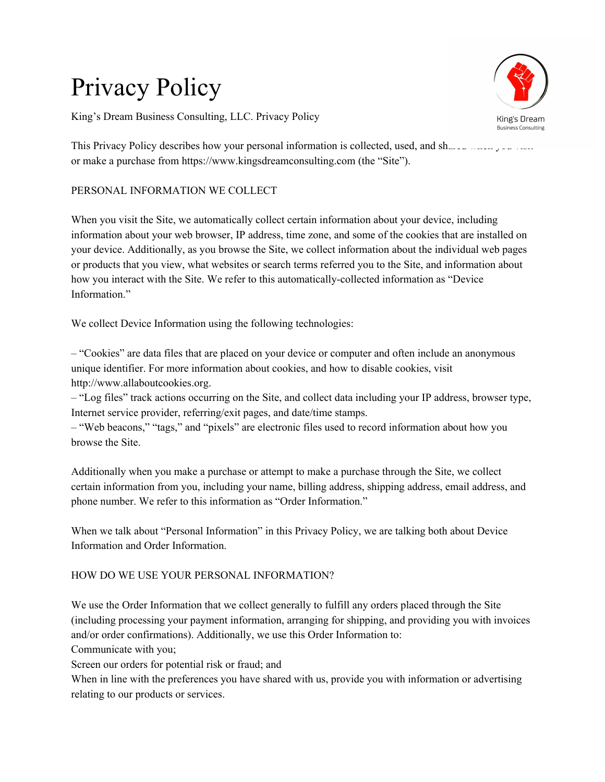# Privacy Policy

King's Dream Business Consulting, LLC. Privacy Policy



This Privacy Policy describes how your personal information is collected, used, and shared when you visit or make a purchase from https://www.kingsdreamconsulting.com (the "Site").

# PERSONAL INFORMATION WE COLLECT

When you visit the Site, we automatically collect certain information about your device, including information about your web browser, IP address, time zone, and some of the cookies that are installed on your device. Additionally, as you browse the Site, we collect information about the individual web pages or products that you view, what websites or search terms referred you to the Site, and information about how you interact with the Site. We refer to this automatically-collected information as "Device Information."

We collect Device Information using the following technologies:

– "Cookies" are data files that are placed on your device or computer and often include an anonymous unique identifier. For more information about cookies, and how to disable cookies, visit http://www.allaboutcookies.org.

– "Log files" track actions occurring on the Site, and collect data including your IP address, browser type, Internet service provider, referring/exit pages, and date/time stamps.

– "Web beacons," "tags," and "pixels" are electronic files used to record information about how you browse the Site.

Additionally when you make a purchase or attempt to make a purchase through the Site, we collect certain information from you, including your name, billing address, shipping address, email address, and phone number. We refer to this information as "Order Information."

When we talk about "Personal Information" in this Privacy Policy, we are talking both about Device Information and Order Information.

# HOW DO WE USE YOUR PERSONAL INFORMATION?

We use the Order Information that we collect generally to fulfill any orders placed through the Site (including processing your payment information, arranging for shipping, and providing you with invoices and/or order confirmations). Additionally, we use this Order Information to:

Communicate with you;

Screen our orders for potential risk or fraud; and

When in line with the preferences you have shared with us, provide you with information or advertising relating to our products or services.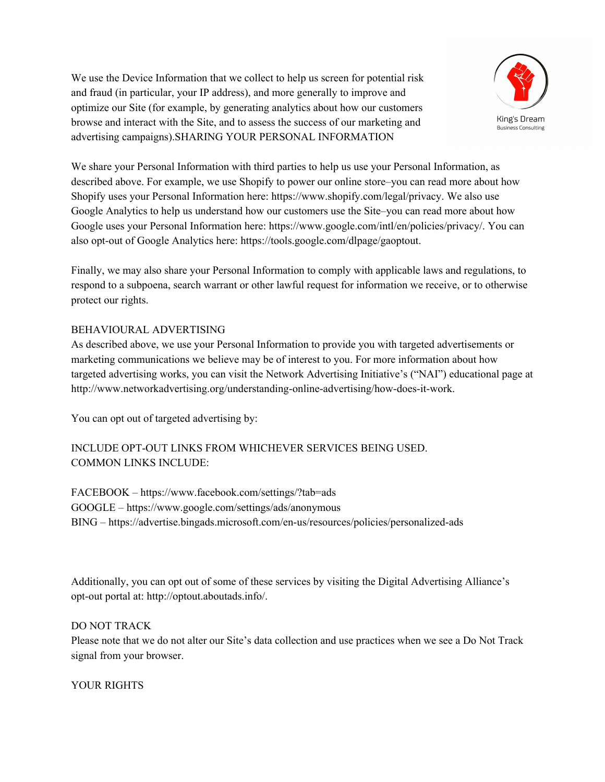We use the Device Information that we collect to help us screen for potential risk and fraud (in particular, your IP address), and more generally to improve and optimize our Site (for example, by generating analytics about how our customers browse and interact with the Site, and to assess the success of our marketing and advertising campaigns).SHARING YOUR PERSONAL INFORMATION



We share your Personal Information with third parties to help us use your Personal Information, as described above. For example, we use Shopify to power our online store–you can read more about how Shopify uses your Personal Information here: https://www.shopify.com/legal/privacy. We also use Google Analytics to help us understand how our customers use the Site–you can read more about how Google uses your Personal Information here: https://www.google.com/intl/en/policies/privacy/. You can also opt-out of Google Analytics here: https://tools.google.com/dlpage/gaoptout.

Finally, we may also share your Personal Information to comply with applicable laws and regulations, to respond to a subpoena, search warrant or other lawful request for information we receive, or to otherwise protect our rights.

#### BEHAVIOURAL ADVERTISING

As described above, we use your Personal Information to provide you with targeted advertisements or marketing communications we believe may be of interest to you. For more information about how targeted advertising works, you can visit the Network Advertising Initiative's ("NAI") educational page at http://www.networkadvertising.org/understanding-online-advertising/how-does-it-work.

You can opt out of targeted advertising by:

# INCLUDE OPT-OUT LINKS FROM WHICHEVER SERVICES BEING USED. COMMON LINKS INCLUDE:

FACEBOOK – https://www.facebook.com/settings/?tab=ads GOOGLE – https://www.google.com/settings/ads/anonymous BING – https://advertise.bingads.microsoft.com/en-us/resources/policies/personalized-ads

Additionally, you can opt out of some of these services by visiting the Digital Advertising Alliance's opt-out portal at: http://optout.aboutads.info/.

#### DO NOT TRACK

Please note that we do not alter our Site's data collection and use practices when we see a Do Not Track signal from your browser.

#### YOUR RIGHTS